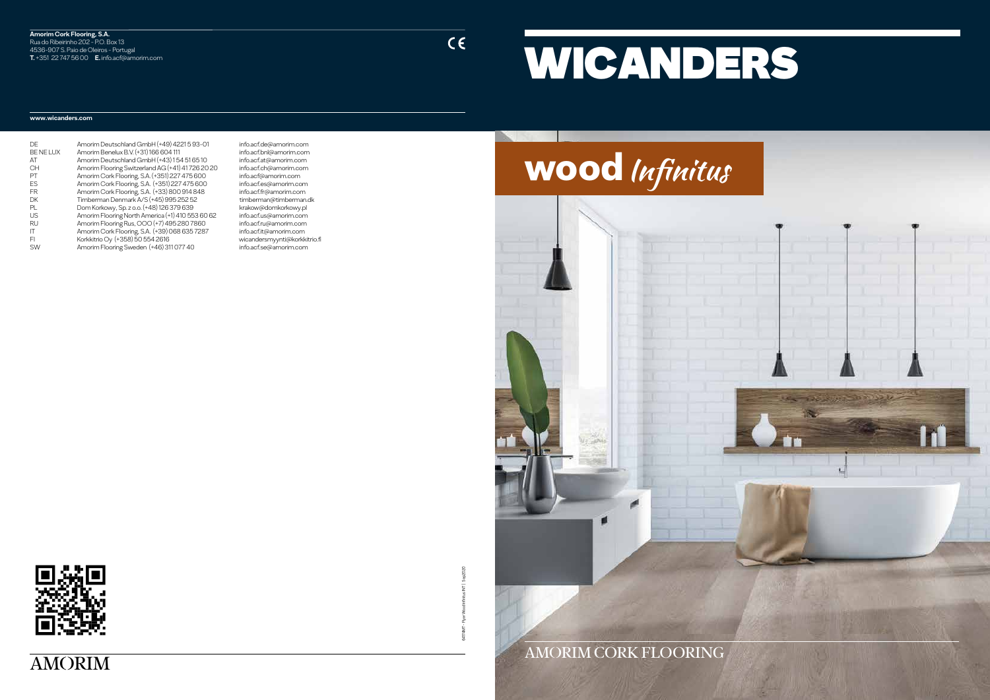#### **Amorim Cork Flooring, S.A.** Rua do Ribeirinho 202 - P.O. Box 13 4536-907 S. Paio de Oleiros - Portugal **T.** +351 22 747 56 00 **E.** info.acf@amorim.com

 $C \in$ 

#### **www.wicanders.com**

| )F              | Amorim Deutschland GmbH (+49) 4221 5 93-01       |
|-----------------|--------------------------------------------------|
| <b>BE NELUX</b> | Amorim Benelux B.V. (+31) 166 604 111            |
| ЛT              | Amorim Deutschland GmbH (+43) 154 51 65 10       |
| CН              | Amorim Flooring Switzerland AG (+41) 41 726 20 2 |
| 기               | Amorim Cork Flooring, S.A. (+351) 227 475 600    |
| ΞS              | Amorim Cork Flooring, S.A. (+351) 227 475 600    |
| -R              | Amorim Cork Flooring, S.A. (+33) 800 914 848     |
| ЭK              | Timberman Denmark A/S (+45) 995 252 52           |
| 기               | Dom Korkowy, Sp. z o.o. (+48) 126 379 639        |
| JS              | Amorim Flooring North America (+1) 410 553 60 62 |
| ₹U              | Amorim Flooring Rus, OOO (+7) 495 280 7860       |
| Т               | Amorim Cork Flooring, S.A. (+39) 068 635 7287    |
| E)              | Korkkitrio Oy (+358) 50 554 2616                 |
| SW              | Amorim Flooring Sweden (+46) 311 077 40          |
|                 |                                                  |

info.acf.de@amorim.com BE NE LUX Amorim Benelux B.V. (+31) 166 604 111 info.acf.bnl@amorim.com AT Amorim Deutschland GmbH (+43) 1 54 51 65 10 info.acf.at@amorim.com info.acf.ch@amorim.com info.acf@amorim.com info.acf.es@amorim.com info.acf.fr@amorim.com timberman@timberman.dk krakow@domkorkowy.pl.<br>S2. info.acf.us@amorim.com info.acf.us@amorim.com info.acf.ru@amorim.com info.acf.it@amorim.com wicandersmyynti@korkkitrio.fi info.acf.se@amorim.com









64174MT - Flyer Wood Infinitus INT | Sep2020

# WICANDERS